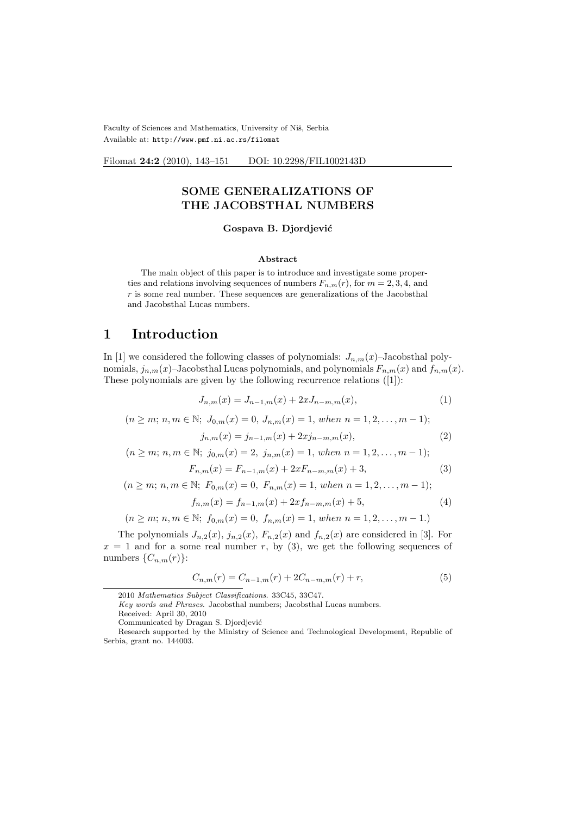Faculty of Sciences and Mathematics, University of Niš, Serbia Available at: http://www.pmf.ni.ac.rs/filomat

Filomat 24:2 (2010), 143-151 DOI: 10.2298/FIL1002143D

### SOME GENERALIZATIONS OF THE JACOBSTHAL NUMBERS

#### Gospava B. Djordjević

#### Abstract

The main object of this paper is to introduce and investigate some properties and relations involving sequences of numbers  $F_{n,m}(r)$ , for  $m = 2, 3, 4$ , and  $r$  is some real number. These sequences are generalizations of the Jacobsthal and Jacobsthal Lucas numbers.

### 1 Introduction

In [1] we considered the following classes of polynomials:  $J_{n,m}(x)$ –Jacobsthal polynomials,  $j_{n,m}(x)$ –Jacobsthal Lucas polynomials, and polynomials  $F_{n,m}(x)$  and  $f_{n,m}(x)$ . These polynomials are given by the following recurrence relations ([1]):

$$
J_{n,m}(x) = J_{n-1,m}(x) + 2xJ_{n-m,m}(x),
$$
\n(1)

 $(n \geq m; n, m \in \mathbb{N}; J_{0,m}(x) = 0, J_{n,m}(x) = 1, when n = 1, 2, ..., m-1);$ 

$$
j_{n,m}(x) = j_{n-1,m}(x) + 2xj_{n-m,m}(x),
$$
\n(2)

$$
(n \ge m; n, m \in \mathbb{N}; j_{0,m}(x) = 2, j_{n,m}(x) = 1, when n = 1, 2, ..., m - 1);
$$

$$
F_{n,m}(x) = F_{n-1,m}(x) + 2xF_{n-m,m}(x) + 3,
$$
\n(3)

$$
(n \ge m; n, m \in \mathbb{N}; F_{0,m}(x) = 0, F_{n,m}(x) = 1, when n = 1, 2, ..., m-1);
$$

$$
f_{n,m}(x) = f_{n-1,m}(x) + 2xf_{n-m,m}(x) + 5,
$$
\n(4)

$$
(n \ge m; n, m \in \mathbb{N}; f_{0,m}(x) = 0, f_{n,m}(x) = 1, when n = 1, 2, ..., m - 1.)
$$

The polynomials  $J_{n,2}(x)$ ,  $j_{n,2}(x)$ ,  $F_{n,2}(x)$  and  $f_{n,2}(x)$  are considered in [3]. For  $x = 1$  and for a some real number r, by (3), we get the following sequences of numbers  $\{C_{n,m}(r)\}$ :

$$
C_{n,m}(r) = C_{n-1,m}(r) + 2C_{n-m,m}(r) + r,\tag{5}
$$

<sup>2010</sup> Mathematics Subject Classifications. 33C45, 33C47.

Key words and Phrases. Jacobsthal numbers; Jacobsthal Lucas numbers.

Received: April 30, 2010

Communicated by Dragan S. Djordjević

Research supported by the Ministry of Science and Technological Development, Republic of Serbia, grant no. 144003.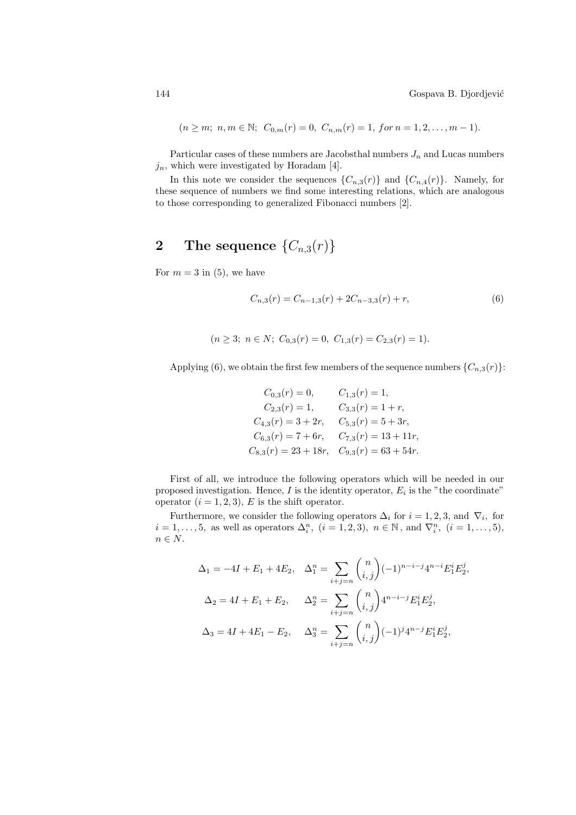$$
(n \ge m; n, m \in \mathbb{N}; C_{0,m}(r) = 0, C_{n,m}(r) = 1, for n = 1, 2, ..., m-1).
$$

Particular cases of these numbers are Jacobsthal numbers  $J_n$  and Lucas numbers  $j_n$ , which were investigated by Horadam [4].

In this note we consider the sequences  $\{C_{n,3}(r)\}\$  and  $\{C_{n,4}(r)\}\$ . Namely, for these sequence of numbers we find some interesting relations, which are analogous to those corresponding to generalized Fibonacci numbers [2].

## 2 The sequence  $\{C_{n,3}(r)\}$

For  $m = 3$  in (5), we have

$$
C_{n,3}(r) = C_{n-1,3}(r) + 2C_{n-3,3}(r) + r,\tag{6}
$$

$$
(n \ge 3; n \in N; C_{0,3}(r) = 0, C_{1,3}(r) = C_{2,3}(r) = 1).
$$

Applying (6), we obtain the first few members of the sequence numbers  $\{C_{n,3}(r)\}$ :

$$
C_{0,3}(r) = 0, \t C_{1,3}(r) = 1,
$$
  
\n
$$
C_{2,3}(r) = 1, \t C_{3,3}(r) = 1 + r,
$$
  
\n
$$
C_{4,3}(r) = 3 + 2r, \t C_{5,3}(r) = 5 + 3r,
$$
  
\n
$$
C_{6,3}(r) = 7 + 6r, \t C_{7,3}(r) = 13 + 11r,
$$
  
\n
$$
C_{8,3}(r) = 23 + 18r, \t C_{9,3}(r) = 63 + 54r.
$$

First of all, we introduce the following operators which will be needed in our proposed investigation. Hence,  $I$  is the identity operator,  $E_i$  is the "the coordinate" operator  $(i = 1, 2, 3)$ , E is the shift operator.

Furthermore, we consider the following operators  $\Delta_i$  for  $i = 1, 2, 3$ , and  $\nabla_i$ , for  $i = 1, \ldots, 5$ , as well as operators  $\Delta_i^n$ ,  $(i = 1, 2, 3)$ ,  $n \in \mathbb{N}$ , and  $\nabla_i^n$ ,  $(i = 1, \ldots, 5)$ ,  $n \in N.$ 

$$
\Delta_1 = -4I + E_1 + 4E_2, \quad \Delta_1^n = \sum_{i+j=n} \binom{n}{i,j} (-1)^{n-i-j} 4^{n-i} E_1^i E_2^j,
$$
  

$$
\Delta_2 = 4I + E_1 + E_2, \quad \Delta_2^n = \sum_{i+j=n} \binom{n}{i,j} 4^{n-i-j} E_1^i E_2^j,
$$
  

$$
\Delta_3 = 4I + 4E_1 - E_2, \quad \Delta_3^n = \sum_{i+j=n} \binom{n}{i,j} (-1)^j 4^{n-j} E_1^i E_2^j,
$$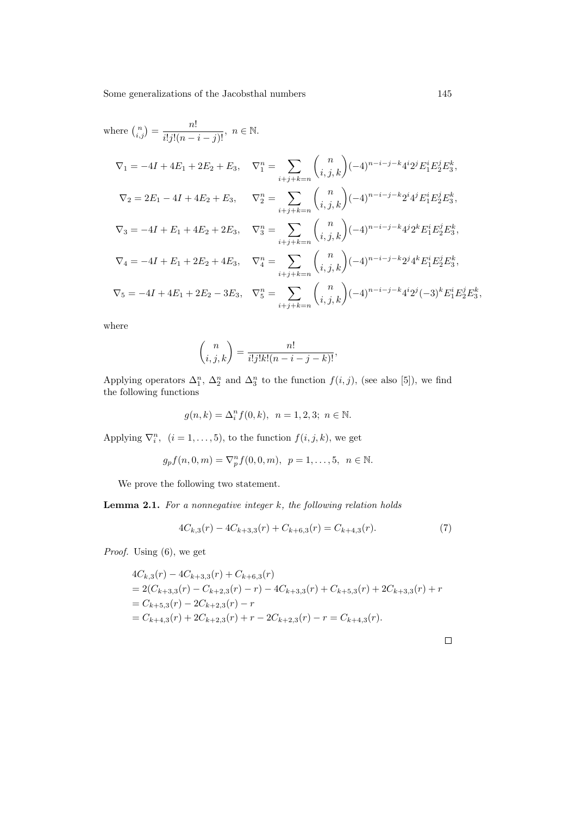where 
$$
\binom{n}{i,j} = \frac{n!}{i!j!(n-i-j)!}
$$
,  $n \in \mathbb{N}$ .  
\n
$$
\nabla_1 = -4I + 4E_1 + 2E_2 + E_3, \quad \nabla_1^n = \sum_{i+j+k=n} \binom{n}{i,j,k} (-4)^{n-i-j-k} 4^i 2^j E_1^i E_2^j E_3^k,
$$
\n
$$
\nabla_2 = 2E_1 - 4I + 4E_2 + E_3, \quad \nabla_2^n = \sum_{i+j+k=n} \binom{n}{i,j,k} (-4)^{n-i-j-k} 2^i 4^j E_1^i E_2^j E_3^k,
$$
\n
$$
\nabla_3 = -4I + E_1 + 4E_2 + 2E_3, \quad \nabla_3^n = \sum_{i+j+k=n} \binom{n}{i,j,k} (-4)^{n-i-j-k} 4^j 2^k E_1^i E_2^j E_3^k,
$$
\n
$$
\nabla_4 = -4I + E_1 + 2E_2 + 4E_3, \quad \nabla_4^n = \sum_{i+j+k=n} \binom{n}{i,j,k} (-4)^{n-i-j-k} 2^j 4^k E_1^i E_2^j E_3^k,
$$
\n
$$
\nabla_5 = -4I + 4E_1 + 2E_2 - 3E_3, \quad \nabla_5^n = \sum_{i+j+k=n} \binom{n}{i,j,k} (-4)^{n-i-j-k} 4^i 2^j (-3)^k E_1^i E_2^j E_3^k,
$$

where

$$
\binom{n}{i,j,k} = \frac{n!}{i!j!k!(n-i-j-k)!},
$$

Applying operators  $\Delta_1^n$ ,  $\Delta_2^n$  and  $\Delta_3^n$  to the function  $f(i, j)$ , (see also [5]), we find the following functions

$$
g(n,k) = \Delta_i^n f(0,k), \ \ n = 1,2,3; \ \ n \in \mathbb{N}.
$$

Applying  $\nabla_i^n$ ,  $(i = 1, ..., 5)$ , to the function  $f(i, j, k)$ , we get

$$
g_p f(n, 0, m) = \nabla_p^n f(0, 0, m), \quad p = 1, \ldots, 5, \quad n \in \mathbb{N}.
$$

We prove the following two statement.

**Lemma 2.1.** For a nonnegative integer  $k$ , the following relation holds

$$
4C_{k,3}(r) - 4C_{k+3,3}(r) + C_{k+6,3}(r) = C_{k+4,3}(r). \tag{7}
$$

Proof. Using (6), we get

$$
4C_{k,3}(r) - 4C_{k+3,3}(r) + C_{k+6,3}(r)
$$
  
= 2(C\_{k+3,3}(r) - C\_{k+2,3}(r) - r) - 4C\_{k+3,3}(r) + C\_{k+5,3}(r) + 2C\_{k+3,3}(r) + r  
= C\_{k+5,3}(r) - 2C\_{k+2,3}(r) - r  
= C\_{k+4,3}(r) + 2C\_{k+2,3}(r) + r - 2C\_{k+2,3}(r) - r = C\_{k+4,3}(r).

 $\Box$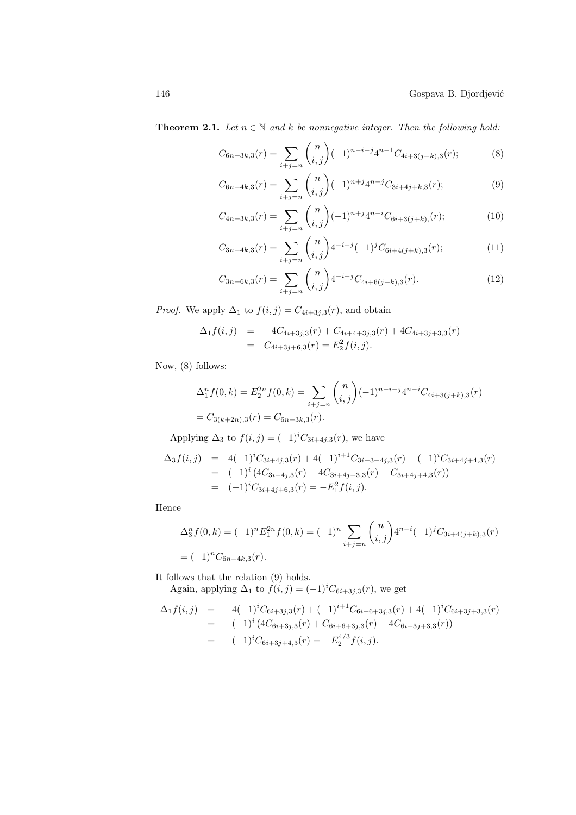**Theorem 2.1.** Let  $n \in \mathbb{N}$  and k be nonnegative integer. Then the following hold:

$$
C_{6n+3k,3}(r) = \sum_{i+j=n} {n \choose i,j} (-1)^{n-i-j} 4^{n-1} C_{4i+3(j+k),3}(r); \tag{8}
$$

$$
C_{6n+4k,3}(r) = \sum_{i+j=n} {n \choose i,j} (-1)^{n+j} 4^{n-j} C_{3i+4j+k,3}(r); \tag{9}
$$

$$
C_{4n+3k,3}(r) = \sum_{i+j=n} {n \choose i,j} (-1)^{n+j} 4^{n-i} C_{6i+3(j+k),r}(r); \tag{10}
$$

$$
C_{3n+4k,3}(r) = \sum_{i+j=n} {n \choose i,j} 4^{-i-j} (-1)^j C_{6i+4(j+k),3}(r); \tag{11}
$$

$$
C_{3n+6k,3}(r) = \sum_{i+j=n} {n \choose i,j} 4^{-i-j} C_{4i+6(j+k),3}(r). \tag{12}
$$

*Proof.* We apply  $\Delta_1$  to  $f(i, j) = C_{4i+3j,3}(r)$ , and obtain

$$
\Delta_1 f(i,j) = -4C_{4i+3j,3}(r) + C_{4i+4+3j,3}(r) + 4C_{4i+3j+3,3}(r)
$$
  
=  $C_{4i+3j+6,3}(r) = E_2^2 f(i,j).$ 

Now, (8) follows:

$$
\Delta_1^n f(0, k) = E_2^{2n} f(0, k) = \sum_{i+j=n} {n \choose i, j} (-1)^{n-i-j} 4^{n-i} C_{4i+3(j+k), 3}(r)
$$
  
=  $C_{3(k+2n), 3}(r) = C_{6n+3k, 3}(r).$ 

Applying  $\Delta_3$  to  $f(i, j) = (-1)^i C_{3i+4j,3}(r)$ , we have

$$
\Delta_3 f(i,j) = 4(-1)^i C_{3i+4j,3}(r) + 4(-1)^{i+1} C_{3i+3+4j,3}(r) - (-1)^i C_{3i+4j+4,3}(r)
$$
  
= (-1)^i (4C\_{3i+4j,3}(r) - 4C\_{3i+4j+3,3}(r) - C\_{3i+4j+4,3}(r))  
= (-1)^i C\_{3i+4j+6,3}(r) = -E\_1^2 f(i,j).

Hence

$$
\Delta_3^n f(0, k) = (-1)^n E_1^{2n} f(0, k) = (-1)^n \sum_{i+j=n} {n \choose i,j} 4^{n-i} (-1)^j C_{3i+4(j+k),3}(r)
$$
  
= 
$$
(-1)^n C_{6n+4k,3}(r).
$$

It follows that the relation (9) holds.

Again, applying  $\Delta_1$  to  $f(i, j) = (-1)^i C_{6i+3j,3}(r)$ , we get  $\Delta f(i, t) = -4(-1)iC$   $(i, t) + (-1)iHC$   $(i, t) + 4(-1)iC$ 

$$
\Delta_1 f(i,j) = -4(-1)^i C_{6i+3j,3}(r) + (-1)^{i+1} C_{6i+6+3j,3}(r) + 4(-1)^i C_{6i+3j+3,3}(r)
$$
  
\n
$$
= -(-1)^i (4C_{6i+3j,3}(r) + C_{6i+6+3j,3}(r) - 4C_{6i+3j+3,3}(r))
$$
  
\n
$$
= -(-1)^i C_{6i+3j+4,3}(r) = -E_2^{4/3} f(i,j).
$$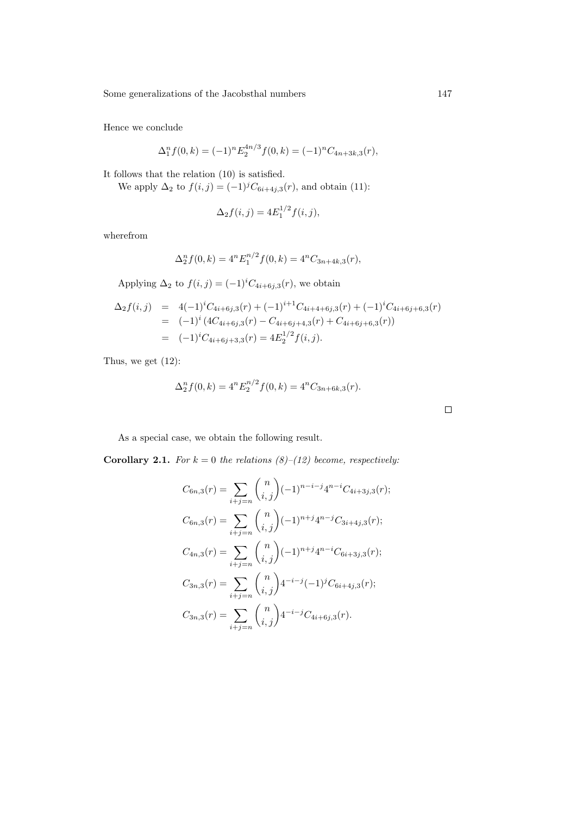Hence we conclude

$$
\Delta_1^n f(0,k) = (-1)^n E_2^{4n/3} f(0,k) = (-1)^n C_{4n+3k,3}(r),
$$

It follows that the relation (10) is satisfied.

We apply  $\Delta_2$  to  $f(i, j) = (-1)^j C_{6i+4j,3}(r)$ , and obtain (11):

$$
\Delta_2 f(i,j) = 4E_1^{1/2} f(i,j),
$$

wherefrom

$$
\Delta_2^n f(0,k) = 4^n E_1^{n/2} f(0,k) = 4^n C_{3n+4k,3}(r),
$$

Applying  $\Delta_2$  to  $f(i, j) = (-1)^i C_{4i+6j,3}(r)$ , we obtain

$$
\Delta_2 f(i,j) = 4(-1)^i C_{4i+6j,3}(r) + (-1)^{i+1} C_{4i+4+6j,3}(r) + (-1)^i C_{4i+6j+6,3}(r)
$$
  
= 
$$
(-1)^i (4C_{4i+6j,3}(r) - C_{4i+6j+4,3}(r) + C_{4i+6j+6,3}(r))
$$
  
= 
$$
(-1)^i C_{4i+6j+3,3}(r) = 4E_2^{1/2} f(i,j).
$$

Thus, we get (12):

$$
\Delta_2^n f(0,k) = 4^n E_2^{n/2} f(0,k) = 4^n C_{3n+6k,3}(r).
$$

As a special case, we obtain the following result.

**Corollary 2.1.** For  $k = 0$  the relations (8)–(12) become, respectively:

$$
C_{6n,3}(r) = \sum_{i+j=n} {n \choose i,j} (-1)^{n-i-j} 4^{n-i} C_{4i+3j,3}(r);
$$
  
\n
$$
C_{6n,3}(r) = \sum_{i+j=n} {n \choose i,j} (-1)^{n+j} 4^{n-j} C_{3i+4j,3}(r);
$$
  
\n
$$
C_{4n,3}(r) = \sum_{i+j=n} {n \choose i,j} (-1)^{n+j} 4^{n-i} C_{6i+3j,3}(r);
$$
  
\n
$$
C_{3n,3}(r) = \sum_{i+j=n} {n \choose i,j} 4^{-i-j} (-1)^j C_{6i+4j,3}(r);
$$
  
\n
$$
C_{3n,3}(r) = \sum_{i+j=n} {n \choose i,j} 4^{-i-j} C_{4i+6j,3}(r).
$$

 $\Box$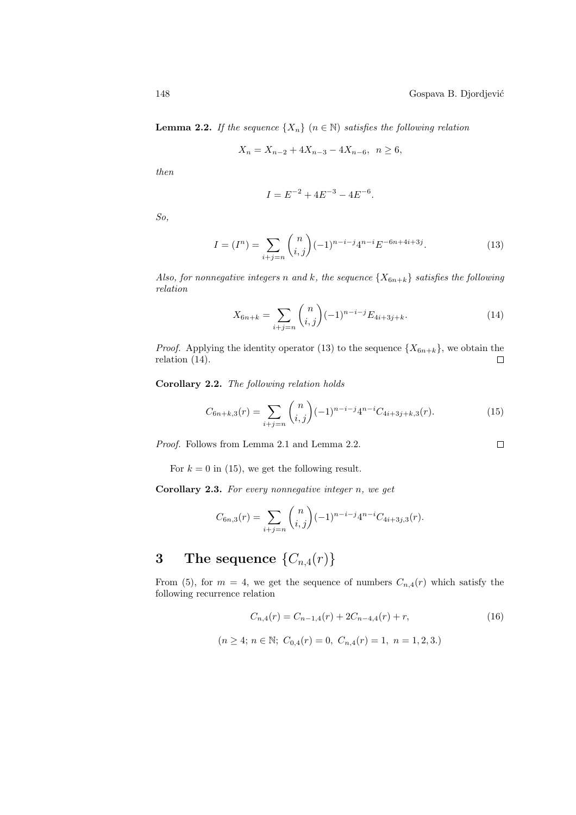$\Box$ 

**Lemma 2.2.** If the sequence  $\{X_n\}$   $(n \in \mathbb{N})$  satisfies the following relation

$$
X_n = X_{n-2} + 4X_{n-3} - 4X_{n-6}, \ \ n \ge 6,
$$

then

$$
I = E^{-2} + 4E^{-3} - 4E^{-6}.
$$

So,

$$
I = (I^n) = \sum_{i+j=n} {n \choose i,j} (-1)^{n-i-j} 4^{n-i} E^{-6n+4i+3j}.
$$
 (13)

Also, for nonnegative integers n and k, the sequence  $\{X_{6n+k}\}\$  satisfies the following relation

$$
X_{6n+k} = \sum_{i+j=n} {n \choose i,j} (-1)^{n-i-j} E_{4i+3j+k}.
$$
 (14)

*Proof.* Applying the identity operator (13) to the sequence  $\{X_{6n+k}\}\$ , we obtain the relation (14).  $\Box$ 

Corollary 2.2. The following relation holds

$$
C_{6n+k,3}(r) = \sum_{i+j=n} {n \choose i,j} (-1)^{n-i-j} 4^{n-i} C_{4i+3j+k,3}(r). \tag{15}
$$

Proof. Follows from Lemma 2.1 and Lemma 2.2.

For  $k = 0$  in (15), we get the following result.

**Corollary 2.3.** For every nonnegative integer  $n$ , we get

$$
C_{6n,3}(r) = \sum_{i+j=n} {n \choose i,j} (-1)^{n-i-j} 4^{n-i} C_{4i+3j,3}(r).
$$

# 3 The sequence  $\{C_{n,4}(r)\}$

From (5), for  $m = 4$ , we get the sequence of numbers  $C_{n,4}(r)$  which satisfy the following recurrence relation

$$
C_{n,4}(r) = C_{n-1,4}(r) + 2C_{n-4,4}(r) + r,
$$
\n(16)

$$
(n \ge 4; n \in \mathbb{N}; C_{0,4}(r) = 0, C_{n,4}(r) = 1, n = 1, 2, 3)
$$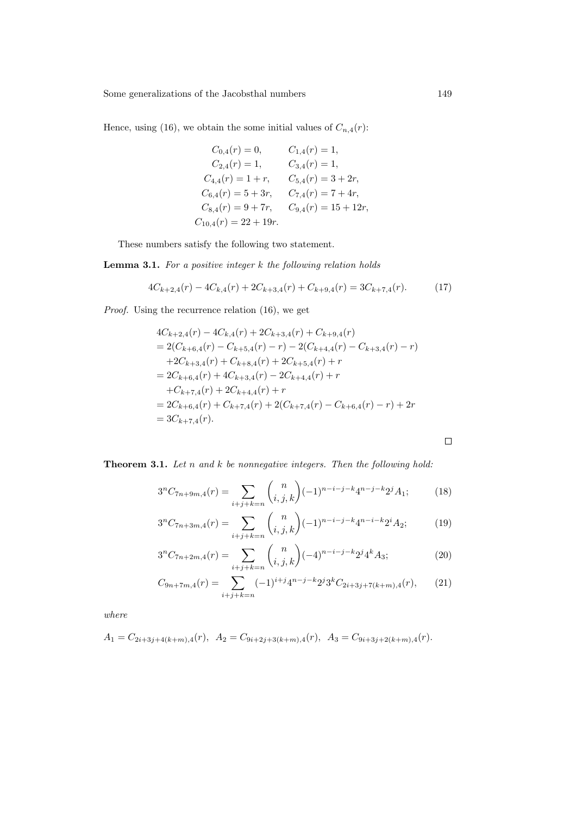Hence, using (16), we obtain the some initial values of  $C_{n,4}(r)$ :

 $C_{0,4}(r) = 0, \qquad C_{1,4}(r) = 1,$  $C_{2,4}(r) = 1,$   $C_{3,4}(r) = 1,$  $C_{4,4}(r) = 1 + r$ ,  $C_{5,4}(r) = 3 + 2r$ ,  $C_{6,4}(r) = 5 + 3r$ ,  $C_{7,4}(r) = 7 + 4r$ ,  $C_{8,4}(r) = 9 + 7r$ ,  $C_{9,4}(r) = 15 + 12r$ ,  $C_{10,4}(r) = 22 + 19r.$ 

These numbers satisfy the following two statement.

**Lemma 3.1.** For a positive integer  $k$  the following relation holds

$$
4C_{k+2,4}(r) - 4C_{k,4}(r) + 2C_{k+3,4}(r) + C_{k+9,4}(r) = 3C_{k+7,4}(r). \tag{17}
$$

Proof. Using the recurrence relation  $(16)$ , we get

$$
4C_{k+2,4}(r) - 4C_{k,4}(r) + 2C_{k+3,4}(r) + C_{k+9,4}(r)
$$
  
= 2(C\_{k+6,4}(r) - C\_{k+5,4}(r) - r) - 2(C\_{k+4,4}(r) - C\_{k+3,4}(r) - r)  
+2C\_{k+3,4}(r) + C\_{k+8,4}(r) + 2C\_{k+5,4}(r) + r  
= 2C\_{k+6,4}(r) + 4C\_{k+3,4}(r) - 2C\_{k+4,4}(r) + r  
+C\_{k+7,4}(r) + 2C\_{k+4,4}(r) + r  
= 2C\_{k+6,4}(r) + C\_{k+7,4}(r) + 2(C\_{k+7,4}(r) - C\_{k+6,4}(r) - r) + 2r  
= 3C\_{k+7,4}(r).

 $\Box$ 

**Theorem 3.1.** Let n and  $k$  be nonnegative integers. Then the following hold:

$$
3^{n}C_{7n+9m,4}(r) = \sum_{i+j+k=n} {n \choose i,j,k} (-1)^{n-i-j-k} 4^{n-j-k} 2^{j} A_{1};
$$
 (18)

$$
3^{n}C_{7n+3m,4}(r) = \sum_{i+j+k=n} {n \choose i,j,k} (-1)^{n-i-j-k} 4^{n-i-k} 2^{i} A_{2};
$$
 (19)

$$
3^{n}C_{7n+2m,4}(r) = \sum_{i+j+k=n} {n \choose i,j,k} (-4)^{n-i-j-k} 2^{j} 4^{k} A_{3};
$$
\n(20)

$$
C_{9n+7m,4}(r) = \sum_{i+j+k=n} (-1)^{i+j} 4^{n-j-k} 2^j 3^k C_{2i+3j+7(k+m),4}(r), \qquad (21)
$$

where

$$
A_1 = C_{2i+3j+4(k+m),4}(r), \quad A_2 = C_{9i+2j+3(k+m),4}(r), \quad A_3 = C_{9i+3j+2(k+m),4}(r).
$$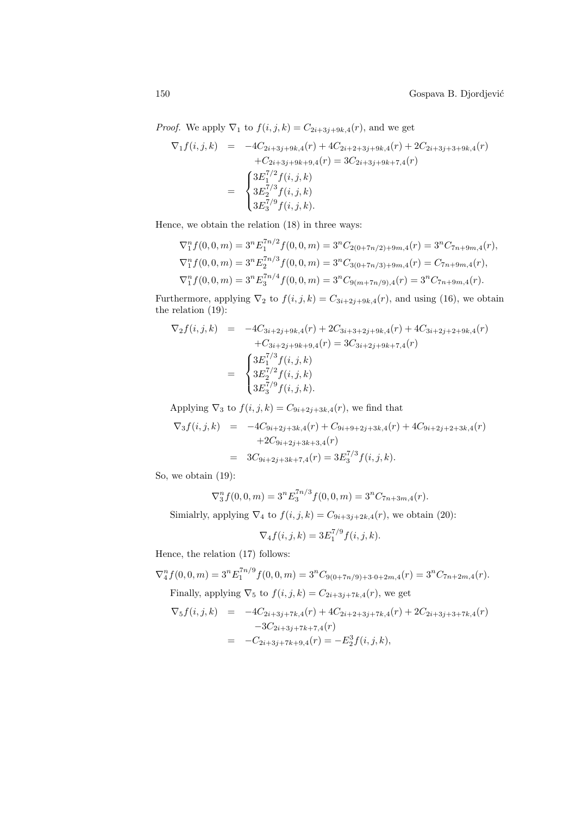*Proof.* We apply  $\nabla_1$  to  $f(i, j, k) = C_{2i+3j+9k,4}(r)$ , and we get

$$
\nabla_1 f(i,j,k) = -4C_{2i+3j+9k,4}(r) + 4C_{2i+2+3j+9k,4}(r) + 2C_{2i+3j+3+9k,4}(r)
$$

$$
+ C_{2i+3j+9k+9,4}(r) = 3C_{2i+3j+9k+7,4}(r)
$$

$$
= \begin{cases} 3E_1^{7/2} f(i,j,k) \\ 3E_2^{7/3} f(i,j,k) \\ 3E_3^{7/9} f(i,j,k). \end{cases}
$$

Hence, we obtain the relation (18) in three ways:

$$
\nabla_1^n f(0,0,m) = 3^n E_1^{\tau n/2} f(0,0,m) = 3^n C_{2(0+7n/2)+9m,4}(r) = 3^n C_{7n+9m,4}(r),
$$
  
\n
$$
\nabla_1^n f(0,0,m) = 3^n E_2^{\tau n/3} f(0,0,m) = 3^n C_{3(0+7n/3)+9m,4}(r) = C_{7n+9m,4}(r),
$$
  
\n
$$
\nabla_1^n f(0,0,m) = 3^n E_3^{\tau n/4} f(0,0,m) = 3^n C_{9(m+7n/9),4}(r) = 3^n C_{7n+9m,4}(r).
$$

Furthermore, applying  $\nabla_2$  to  $f(i, j, k) = C_{3i+2j+9k,4}(r)$ , and using (16), we obtain the relation (19):

$$
\nabla_2 f(i,j,k) = -4C_{3i+2j+9k,4}(r) + 2C_{3i+3+2j+9k,4}(r) + 4C_{3i+2j+2+9k,4}(r) \n+ C_{3i+2j+9k+9,4}(r) = 3C_{3i+2j+9k+7,4}(r) \n= \begin{cases}\n3E_1^{7/3} f(i,j,k) \\
3E_2^{7/2} f(i,j,k) \\
3E_3^{7/9} f(i,j,k).\n\end{cases}
$$

Applying  $\nabla_3$  to  $f(i, j, k) = C_{9i+2j+3k,4}(r)$ , we find that

$$
\nabla_3 f(i,j,k) = -4C_{9i+2j+3k,4}(r) + C_{9i+9+2j+3k,4}(r) + 4C_{9i+2j+2+3k,4}(r) \n+2C_{9i+2j+3k+3,4}(r) \n= 3C_{9i+2j+3k+7,4}(r) = 3E_3^{7/3} f(i,j,k).
$$

So, we obtain (19):

$$
\nabla_3^n f(0,0,m) = 3^n E_3^{\pi n/3} f(0,0,m) = 3^n C_{7n+3m,4}(r).
$$

Simialrly, applying  $\nabla_4$  to  $f(i, j, k) = C_{9i+3j+2k,4}(r)$ , we obtain (20):

$$
\nabla_4 f(i, j, k) = 3E_1^{7/9} f(i, j, k).
$$

Hence, the relation (17) follows:

$$
\nabla_4^n f(0,0,m) = 3^n E_1^{\tau n/9} f(0,0,m) = 3^n C_{9(0+7n/9)+3\cdot 0+2m,4}(r) = 3^n C_{7n+2m,4}(r).
$$
  
Finally, applying  $\nabla_5$  to  $f(i, j, k) = C_{2i+3j+7k,4}(r)$ , we get

$$
\nabla_5 f(i,j,k) = -4C_{2i+3j+7k,4}(r) + 4C_{2i+2+3j+7k,4}(r) + 2C_{2i+3j+3+7k,4}(r) \n-3C_{2i+3j+7k+7,4}(r) \n= -C_{2i+3j+7k+9,4}(r) = -E_2^3 f(i,j,k),
$$